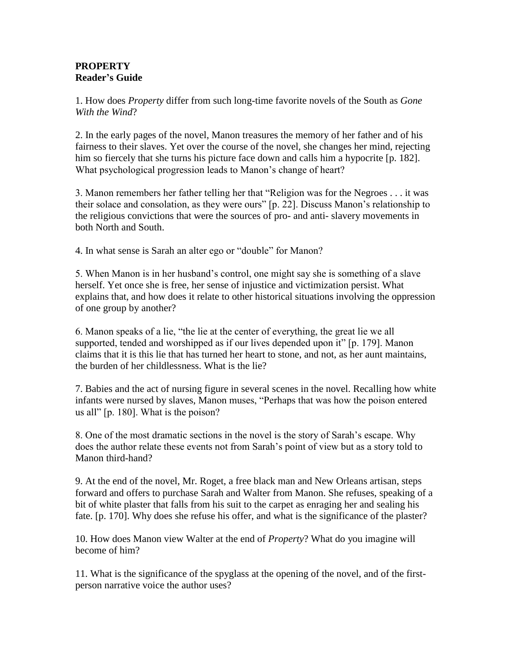## **PROPERTY Reader's Guide**

1. How does *Property* differ from such long-time favorite novels of the South as *Gone With the Wind*?

2. In the early pages of the novel, Manon treasures the memory of her father and of his fairness to their slaves. Yet over the course of the novel, she changes her mind, rejecting him so fiercely that she turns his picture face down and calls him a hypocrite [p. 182]. What psychological progression leads to Manon's change of heart?

3. Manon remembers her father telling her that "Religion was for the Negroes . . . it was their solace and consolation, as they were ours" [p. 22]. Discuss Manon's relationship to the religious convictions that were the sources of pro- and anti- slavery movements in both North and South.

4. In what sense is Sarah an alter ego or "double" for Manon?

5. When Manon is in her husband's control, one might say she is something of a slave herself. Yet once she is free, her sense of injustice and victimization persist. What explains that, and how does it relate to other historical situations involving the oppression of one group by another?

6. Manon speaks of a lie, "the lie at the center of everything, the great lie we all supported, tended and worshipped as if our lives depended upon it" [p. 179]. Manon claims that it is this lie that has turned her heart to stone, and not, as her aunt maintains, the burden of her childlessness. What is the lie?

7. Babies and the act of nursing figure in several scenes in the novel. Recalling how white infants were nursed by slaves, Manon muses, "Perhaps that was how the poison entered us all" [p. 180]. What is the poison?

8. One of the most dramatic sections in the novel is the story of Sarah's escape. Why does the author relate these events not from Sarah's point of view but as a story told to Manon third-hand?

9. At the end of the novel, Mr. Roget, a free black man and New Orleans artisan, steps forward and offers to purchase Sarah and Walter from Manon. She refuses, speaking of a bit of white plaster that falls from his suit to the carpet as enraging her and sealing his fate. [p. 170]. Why does she refuse his offer, and what is the significance of the plaster?

10. How does Manon view Walter at the end of *Property*? What do you imagine will become of him?

11. What is the significance of the spyglass at the opening of the novel, and of the firstperson narrative voice the author uses?